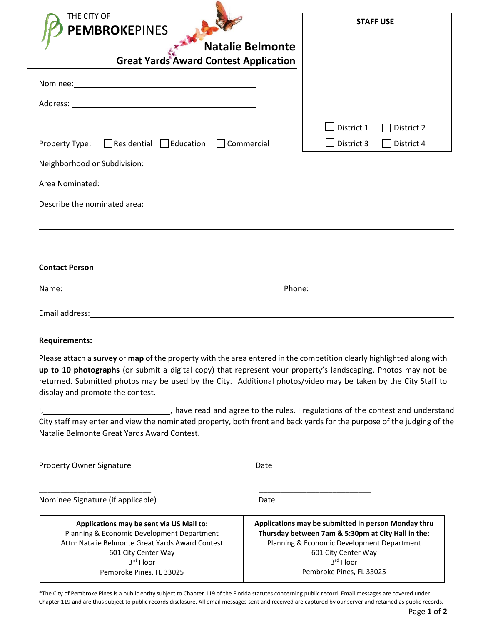|                                                                                                                                                                                                                                                                                                                                                                                                                                                                                |                         |                                                                                                           | <b>STAFF USE</b>         |
|--------------------------------------------------------------------------------------------------------------------------------------------------------------------------------------------------------------------------------------------------------------------------------------------------------------------------------------------------------------------------------------------------------------------------------------------------------------------------------|-------------------------|-----------------------------------------------------------------------------------------------------------|--------------------------|
| <b>PEMBROKEPINES</b>                                                                                                                                                                                                                                                                                                                                                                                                                                                           |                         |                                                                                                           |                          |
| <b>Great Yards Award Contest Application</b>                                                                                                                                                                                                                                                                                                                                                                                                                                   | <b>Natalie Belmonte</b> |                                                                                                           |                          |
| Nominee: <u>www.community.community.community.community.com</u>                                                                                                                                                                                                                                                                                                                                                                                                                |                         |                                                                                                           |                          |
|                                                                                                                                                                                                                                                                                                                                                                                                                                                                                |                         |                                                                                                           |                          |
|                                                                                                                                                                                                                                                                                                                                                                                                                                                                                |                         |                                                                                                           |                          |
| Property Type: Residential Education Commercial                                                                                                                                                                                                                                                                                                                                                                                                                                |                         | District 1<br>$\Box$ District 3                                                                           | District 2<br>District 4 |
|                                                                                                                                                                                                                                                                                                                                                                                                                                                                                |                         |                                                                                                           |                          |
|                                                                                                                                                                                                                                                                                                                                                                                                                                                                                |                         |                                                                                                           |                          |
|                                                                                                                                                                                                                                                                                                                                                                                                                                                                                |                         |                                                                                                           |                          |
|                                                                                                                                                                                                                                                                                                                                                                                                                                                                                |                         |                                                                                                           |                          |
|                                                                                                                                                                                                                                                                                                                                                                                                                                                                                |                         |                                                                                                           |                          |
|                                                                                                                                                                                                                                                                                                                                                                                                                                                                                |                         |                                                                                                           |                          |
| <b>Contact Person</b>                                                                                                                                                                                                                                                                                                                                                                                                                                                          |                         |                                                                                                           |                          |
| Name: Name and the state of the state of the state of the state of the state of the state of the state of the state of the state of the state of the state of the state of the state of the state of the state of the state of                                                                                                                                                                                                                                                 |                         |                                                                                                           |                          |
| Email address: 1988 Contract Contract Contract Contract Contract Contract Contract Contract Contract Contract Contract Contract Contract Contract Contract Contract Contract Contract Contract Contract Contract Contract Cont                                                                                                                                                                                                                                                 |                         |                                                                                                           |                          |
|                                                                                                                                                                                                                                                                                                                                                                                                                                                                                |                         |                                                                                                           |                          |
| <b>Requirements:</b>                                                                                                                                                                                                                                                                                                                                                                                                                                                           |                         |                                                                                                           |                          |
|                                                                                                                                                                                                                                                                                                                                                                                                                                                                                |                         |                                                                                                           |                          |
|                                                                                                                                                                                                                                                                                                                                                                                                                                                                                |                         |                                                                                                           |                          |
|                                                                                                                                                                                                                                                                                                                                                                                                                                                                                |                         |                                                                                                           |                          |
|                                                                                                                                                                                                                                                                                                                                                                                                                                                                                |                         |                                                                                                           |                          |
| Please attach a survey or map of the property with the area entered in the competition clearly highlighted along with<br>up to 10 photographs (or submit a digital copy) that represent your property's landscaping. Photos may not be<br>returned. Submitted photos may be used by the City. Additional photos/video may be taken by the City Staff to<br>display and promote the contest.<br>have read and agree to the rules. I regulations of the contest and understand ( |                         |                                                                                                           |                          |
| City staff may enter and view the nominated property, both front and back yards for the purpose of the judging of the<br>Natalie Belmonte Great Yards Award Contest.                                                                                                                                                                                                                                                                                                           |                         |                                                                                                           |                          |
|                                                                                                                                                                                                                                                                                                                                                                                                                                                                                |                         |                                                                                                           |                          |
| <b>Property Owner Signature</b>                                                                                                                                                                                                                                                                                                                                                                                                                                                | Date                    |                                                                                                           |                          |
|                                                                                                                                                                                                                                                                                                                                                                                                                                                                                |                         |                                                                                                           |                          |
|                                                                                                                                                                                                                                                                                                                                                                                                                                                                                | Date                    |                                                                                                           |                          |
|                                                                                                                                                                                                                                                                                                                                                                                                                                                                                |                         |                                                                                                           |                          |
| Applications may be sent via US Mail to:<br>Planning & Economic Development Department                                                                                                                                                                                                                                                                                                                                                                                         |                         | Applications may be submitted in person Monday thru<br>Thursday between 7am & 5:30pm at City Hall in the: |                          |
| Nominee Signature (if applicable)<br>Attn: Natalie Belmonte Great Yards Award Contest<br>601 City Center Way                                                                                                                                                                                                                                                                                                                                                                   |                         | Planning & Economic Development Department<br>601 City Center Way                                         |                          |

\*The City of Pembroke Pines is a public entity subject to Chapter 119 of the Florida statutes concerning public record. Email messages are covered under Chapter 119 and are thus subject to public records disclosure. All email messages sent and received are captured by our server and retained as public records.